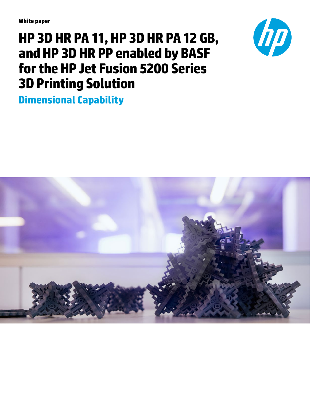**White paper**

# **HP 3D HR PA 11, HP 3D HR PA 12 GB, and HP 3D HR PP enabled by BASF for the HP Jet Fusion 5200 Series 3D Printing Solution**



**Dimensional Capability**

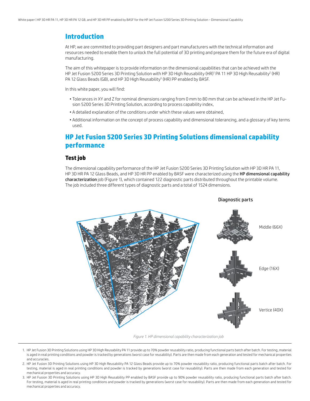## **Introduction**

At HP, we are committed to providing part designers and part manufacturers with the technical information and resources needed to enable them to unlock the full potential of 3D printing and prepare them for the future era of digital manufacturing.

The aim of this whitepaper is to provide information on the dimensional capabilities that can be achieved with the HP Jet Fusion 5200 Series 3D Printing Solution with HP 3D High Reusability (HR)' PA 11 HP 3D High Reusability<sup>2</sup> (HR) PA 12 Glass Beads (GB), and HP 3D High Reusability<sup>3</sup> (HR) PP enabled by BASF.

In this white paper, you will find:

- Tolerances in XY and Z for nominal dimensions ranging from 0 mm to 80 mm that can be achieved in the HP Jet Fusion 5200 Series 3D Printing Solution, according to process capability index,
- A detailed explanation of the conditions under which these values were obtained,
- Additional information on the concept of process capability and dimensional tolerancing, and a glossary of key terms used.

# **HP Jet Fusion 5200 Series 3D Printing Solutions dimensional capability performance**

### **Test job**

The dimensional capability performance of the HP Jet Fusion 5200 Series 3D Printing Solution with HP 3D HR PA 11, HP 3D HR PA 12 Glass Beads, and HP 3D HR PP enabled by BASF were characterized using the HP dimensional capability characterization job (Figure 1), which contained 122 diagnostic parts distributed throughout the printable volume. The job included three different types of diagnostic parts and a total of 1524 dimensions.



*Figure 1. HP dimensional capability characterization job*

- 1. HP Jet Fusion 3D Printing Solutions using HP 3D High Reusability PA 11 provide up to 70% powder reusability ratio, producing functional parts batch after batch. For testing, material is aged in real printing conditions and powder is tracked by generations (worst case for reusability). Parts are then made from each generation and tested for mechanical properties and accuracies.
- 2. HP Jet Fusion 3D Printing Solutions using HP 3D High Reusability PA 12 Glass Beads provide up to 70% powder reusability ratio, producing functional parts batch after batch. For testing, material is aged in real printing conditions and powder is tracked by generations (worst case for reusability). Parts are then made from each generation and tested for mechanical properties and accuracy.
- 3. HP Jet Fusion 3D Printing Solutions using HP 3D High Reusability PP enabled by BASF provide up to 90% powder reusability ratio, producing functional parts batch after batch. For testing, material is aged in real printing conditions and powder is tracked by generations (worst case for reusability). Parts are then made from each generation and tested for mechanical properties and accuracy.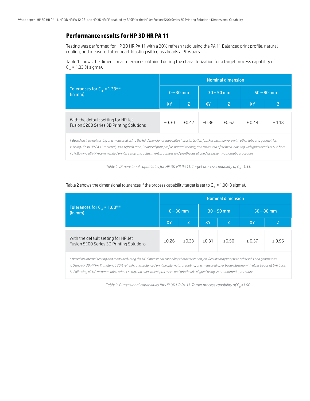## **Performance results for HP 3D HR PA 11**

Testing was performed for HP 3D HR PA 11 with a 30% refresh ratio using the PA 11 Balanced print profile, natural cooling, and measured after bead-blasting with glass beads at 5-6 bars.

Table 1 shows the dimensional tolerances obtained during the characterization for a target process capability of  $C_{\text{obs}} = 1.33$  (4 sigma).

|                                                                                 | <b>Nominal dimension</b> |         |           |              |              |        |  |  |  |  |  |  |
|---------------------------------------------------------------------------------|--------------------------|---------|-----------|--------------|--------------|--------|--|--|--|--|--|--|
| Tolerances for $C_{nk} = 1.33^{\text{ii iii}}$<br>(in mm)                       | $0 - 30$ mm              |         |           | $30 - 50$ mm | $50 - 80$ mm |        |  |  |  |  |  |  |
|                                                                                 | <b>XY</b>                | Z       | <b>XY</b> | Z            | <b>XY</b>    |        |  |  |  |  |  |  |
| With the default setting for HP Jet<br>Fusion 5200 Series 3D Printing Solutions | ±0.30                    | $+0.42$ | ±0.36     | ±0.62        | ± 0.44       | ± 1.18 |  |  |  |  |  |  |

*i. Based on internal testing and measured using the HP dimensional capability characterization job. Results may vary with other jobs and geometries. ii. Using HP 3D HR PA 11 material, 30% refresh ratio, Balanced print profile, natural cooling, and measured after bead-blasting with glass beads at 5-6 bars. iii. Following all HP recommended printer setup and adjustment processes and printheads aligned using semi-automatic procedure.*

*Table 1. Dimensional capabilities for HP 3D HR PA 11. Target process capability of C<sub>pk</sub>=1.33.* 

|                                                                                                                                                      | <b>Nominal dimension</b> |             |       |              |              |        |  |  |  |  |  |  |
|------------------------------------------------------------------------------------------------------------------------------------------------------|--------------------------|-------------|-------|--------------|--------------|--------|--|--|--|--|--|--|
| Tolerances for $C_{nk} = 1.00^{\text{ii iii}}$<br>(in mm)                                                                                            |                          | $0 - 30$ mm |       | $30 - 50$ mm | $50 - 80$ mm |        |  |  |  |  |  |  |
|                                                                                                                                                      | XY                       |             | XY.   | Z            | XY           |        |  |  |  |  |  |  |
| With the default setting for HP Jet<br>Fusion 5200 Series 3D Printing Solutions                                                                      | ±0.26                    | ±0.33       | ±0.31 | ±0.50        | ± 0.37       | ± 0.95 |  |  |  |  |  |  |
| i. Based on internal testing and measured using the HP dimensional capability characterization job. Results may vary with other jobs and geometries. |                          |             |       |              |              |        |  |  |  |  |  |  |

#### Table 2 shows the dimensional tolerances if the process capability target is set to  $C_{nk}$  = 1.00 (3 sigma).

*ii. Using HP 3D HR PA 11 material, 30% refresh ratio, Balanced print profile, natural cooling, and measured after bead-blasting with glass beads at 5-6 bars.*

*iii. Following all HP recommended printer setup and adjustment processes and printheads aligned using semi-automatic procedure.*

*Table 2. Dimensional capabilities for HP 3D HR PA 11. Target process capability of C<sub>pk</sub>=1.00.*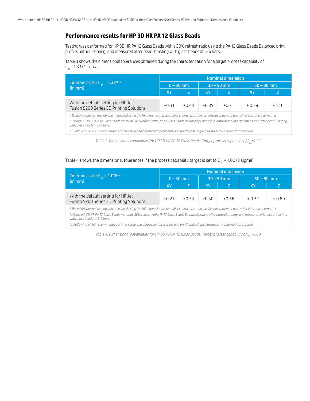## **Performance results for HP 3D HR PA 12 Glass Beads**

Testing was performed for HP 3D HR PA 12 Glass Beads with a 30% refresh ratio using the PA 12 Glass Beads Balanced print profile, natural cooling, and measured after bead-blasting with glass beads at 5-6 bars.

Table 3 shows the dimensional tolerances obtained during the characterization for a target process capability of  $C_{nk}$ = 1.33 (4 sigma).

|                                                                                 | Nominal dimension |         |       |              |              |        |  |  |  |  |  |  |
|---------------------------------------------------------------------------------|-------------------|---------|-------|--------------|--------------|--------|--|--|--|--|--|--|
| Tolerances for $C_{nk} = 1.33^{\text{ii}}$<br>(in mm)                           | $0 - 30$ mm       |         |       | $30 - 50$ mm | $50 - 80$ mm |        |  |  |  |  |  |  |
|                                                                                 | <b>XY</b>         |         | XY    |              | XY           |        |  |  |  |  |  |  |
| With the default setting for HP Jet<br>Fusion 5200 Series 3D Printing Solutions | ±0.31             | $+0.43$ | ±0.35 | $+0.71$      | $+0.39$      | ± 1.16 |  |  |  |  |  |  |

*i. Based on internal testing and measured using the HP dimensional capability characterization job. Results may vary with other jobs and geometries.*

*ii. Using HP 3D HR PA 12 Glass Beads material, 30% refresh ratio, PA12 Glass Beads Balanced print profile, natural cooling, and measured after bead-blasting with glass beads at 5-6 bars.*

*iii. Following all HP recommended printer setup and adjustment processes and printheads aligned using semi-automatic procedure.*

*Table 3. Dimensional capabilities for HP 3D HR PA 12 Glass Beads. Target process capability of C<sub>pk</sub>=1.33.* 

#### Table 4 shows the dimensional tolerances if the process capability target is set to  $C_{p,k}$  = 1.00 (3 sigma).

|                                                                                                                                                      | <b>Nominal dimension</b> |             |       |              |              |         |  |  |  |  |  |  |
|------------------------------------------------------------------------------------------------------------------------------------------------------|--------------------------|-------------|-------|--------------|--------------|---------|--|--|--|--|--|--|
| Tolerances for $C_{nk} = 1.00^{\text{ii}}$<br>(in mm)                                                                                                |                          | $0 - 30$ mm |       | $30 - 50$ mm | $50 - 80$ mm |         |  |  |  |  |  |  |
|                                                                                                                                                      | XY                       |             | XY    |              | XY           |         |  |  |  |  |  |  |
| With the default setting for HP Jet<br>Fusion 5200 Series 3D Printing Solutions                                                                      | $+0.27$                  | ±0.33       | ±0.30 | ±0.56        | ± 0.32       | $+0.89$ |  |  |  |  |  |  |
| i. Based on internal testing and measured using the HP dimensional capability characterization job. Results may vary with other jobs and geometries. |                          |             |       |              |              |         |  |  |  |  |  |  |

*ii. Using HP 3D HR PA 12 Glass Beads material, 30% refresh ratio, PA12 Glass Beads Balanced print profile, natural cooling, and measured after bead-blasting with glass beads at 5-6 bars.* 

*iii. Following all HP recommended printer setup and adjustment processes and printheads aligned using semi-automatic procedure.*

*Table 4. Dimensional capabilities for HP 3D HR PA 12 Glass Beads. Target process capability of C<sub>pk</sub>=1.00.*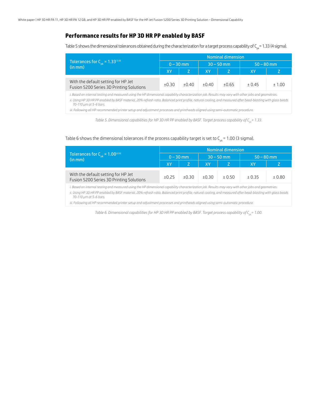## **Performance results for HP 3D HR PP enabled by BASF**

Table 5 shows the dimensional tolerances obtained during the characterization for a target process capability of  $C_{pk}$  = 1.33 (4 sigma).

|                                                                                                                                                                                                                                                                                                                                                 | <b>Nominal dimension</b> |             |       |              |              |        |  |  |  |  |  |  |
|-------------------------------------------------------------------------------------------------------------------------------------------------------------------------------------------------------------------------------------------------------------------------------------------------------------------------------------------------|--------------------------|-------------|-------|--------------|--------------|--------|--|--|--|--|--|--|
| Tolerances for $C_{nk} = 1.33^{\text{ii iii}}$<br>(in mm)                                                                                                                                                                                                                                                                                       |                          | $0 - 30$ mm |       | $30 - 50$ mm | $50 - 80$ mm |        |  |  |  |  |  |  |
|                                                                                                                                                                                                                                                                                                                                                 | IXY.                     |             | XY    |              | XY           |        |  |  |  |  |  |  |
| With the default setting for HP Jet<br>Fusion 5200 Series 3D Printing Solutions                                                                                                                                                                                                                                                                 | ±0.30                    | ±0.40       | ±0.40 | ±0.65        | ± 0.45       | ± 1.00 |  |  |  |  |  |  |
| i. Based on internal testing and measured using the HP dimensional capability characterization job. Results may vary with other jobs and geometries.<br>ii. Using HP 3D HR PP enabled by BASF material, 20% refresh ratio, Balanced print profile, natural cooling, and measured after bead-blasting with glass beads<br>70-110 µm at 5-6 bars. |                          |             |       |              |              |        |  |  |  |  |  |  |
| اختراجه ومردوعة والمستخليات المستحدث المستحال والمستحل المستقل والمستحدث والمستحدث والمستحدث والمستحدث والمستحدث والمستحدث والمستحدث                                                                                                                                                                                                            |                          |             |       |              |              |        |  |  |  |  |  |  |

*iii. Following all HP recommended printer setup and adjustment processes and printheads aligned using semi-automatic procedure.*

*Table 5. Dimensional capabilities for HP 3D HR PP enabled by BASF. Target process capability of C<sub>pk</sub>= 1.33.* 

## Table 6 shows the dimensional tolerances if the process capability target is set to  $C_{pk}$  = 1.00 (3 sigma).

|                                                                                                                                                                                         | <b>Nominal dimension</b> |             |       |              |              |         |  |  |  |  |  |
|-----------------------------------------------------------------------------------------------------------------------------------------------------------------------------------------|--------------------------|-------------|-------|--------------|--------------|---------|--|--|--|--|--|
| Tolerances for $C_{nk} = 1.00^{\text{ii iii}}$<br>(in mm)                                                                                                                               |                          | $0 - 30$ mm |       | $30 - 50$ mm | $50 - 80$ mm |         |  |  |  |  |  |
|                                                                                                                                                                                         | XY                       | Z           | XY    |              | XY           |         |  |  |  |  |  |
|                                                                                                                                                                                         |                          |             |       |              |              |         |  |  |  |  |  |
| With the default setting for HP Jet<br>Fusion 5200 Series 3D Printing Solutions                                                                                                         | ±0.25                    | ±0.30       | ±0.30 | $+0.50$      | ± 0.35       | $+0.80$ |  |  |  |  |  |
| i. Based on internal testing and measured using the HP dimensional capability characterization job. Results may vary with other jobs and geometries.                                    |                          |             |       |              |              |         |  |  |  |  |  |
| ii. Using HP 3D HR PP enabled by BASF material, 20% refresh ratio, Balanced print profile, natural cooling, and measured after bead-blasting with glass beads<br>70-110 µm at 5-6 bars. |                          |             |       |              |              |         |  |  |  |  |  |
| iii. Following all HP recommended printer setup and adjustment processes and printheads aligned using semi-automatic procedure.                                                         |                          |             |       |              |              |         |  |  |  |  |  |

*Table 6. Dimensional capabilities for HP 3D HR PP enabled by BASF. Target process capability of C<sub>pk</sub>= 1.00.*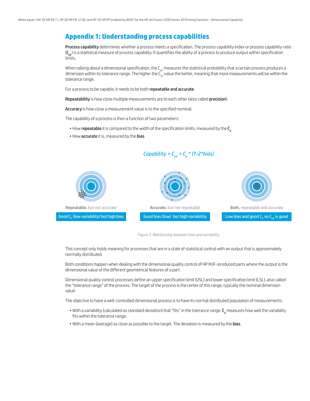## **Appendix 1: Understanding process capabilities**

Process capability determines whether a process meets a specification. The process capability index or process capability ratio  $(C_{nk})$  is a statistical measure of process capability. It quantifies the ability of a process to produce output within specification limits.

When talking about a dimensional specification, the  $C_{pk}$  measures the statistical probability that a certain process produces a dimension within its tolerance range. The higher the  $C_{nk}^k$  value the better, meaning that more measurements will be within the tolerance range.

For a process to be capable, it needs to be both repeatable and accurate.

Repeatability is how close multiple measurements are to each other (also called precision).

Accuracy is how close a measurement value is to the specified nominal.

The capability of a process is then a function of two parameters:

- $\bullet$  How repeatable it is compared to the width of the specification limits, measured by the  $C_{p}$
- How accurate it is, measured by the bias



*Capability =*  $C_{pk} = C_p * (1 - 2 * bias)$ 

*Figure 2. Relationship between bias and variability*

This concept only holds meaning for processes that are in a state of statistical control with an output that is approximately normally distributed.

Both conditions happen when dealing with the dimensional quality control of HP MJF–produced parts where the output is the dimensional value of the different geometrical features of a part.

Dimensional quality control processes define an upper specification limit (USL) and lower specification limit (LSL), also called the "tolerance range" of the process. The target of the process is the center of this range, typically the nominal dimension value.

The objective to have a well-controlled dimensional process is to have its normal distributed population of measurements:

- $\bullet$  With a variability (calculated as standard deviation) that "fits" in the tolerance range.  ${\sf C_p}$  measures how well the variability fits within the tolerance range.
- With a mean (average) as close as possible to the target. The deviation is measured by the bias.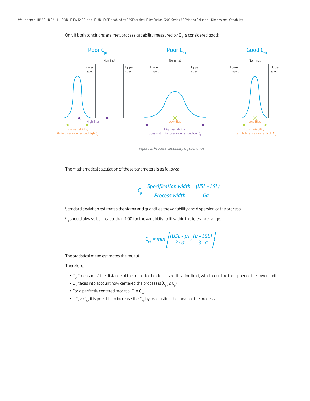Only if both conditions are met, process capability measured by  $C_{pk}$  is considered good:



*Figure 3. Process capability C<sub>pk</sub> scenarios* 

The mathematical calculation of these parameters is as follows:

$$
C_p = \frac{Specification width}{Process width} = \frac{(USL - LSL)}{6\sigma}
$$

Standard deviation estimates the sigma and quantifies the variability and dispersion of the process.

 $\mathsf{C}_\mathsf{p}$  should always be greater than 1.00 for the variability to fit within the tolerance range.

$$
C_{pk} = min\left\{\frac{[USL - \mu J]}{3 \cdot \sigma}, \frac{[\mu - LSL]}{3 \cdot \sigma}\right\}
$$

The statistical mean estimates the mu  $(\mu)$ .

Therefore:

- C<sub>pk</sub> "measures" the distance of the mean to the closer specification limit, which could be the upper or the lower limit.
- $C_{\rm pk}$  takes into account how centered the process is ( $C_{\rm pk} \le C_{\rm pb}$ ).
- For a perfectly centered process,  $C_p = C_{pk}$ .
- $\bullet$  If C<sub>p</sub> > C<sub>pk</sub>, it is possible to increase the C<sub>pk</sub> by readjusting the mean of the process.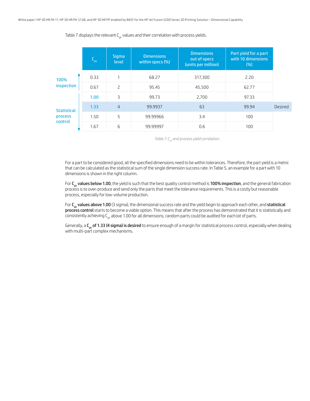$C_{pk}$ **Sigma** level **Dimensions** within specs (%) **Dimensions** out of specs (units per million) Part yield for a part with 10 dimensions (%) 0.33 1 68.27 317,300 2.20 0.67 2 95.45 45,500 62.77 1.00 3 99.73 2,700 97.33 1.33 4 99.9937 63 99.94 Desired 1.50 5 99.99966 3.4 100 1.67 6 99.99997 0.6 100 100% inspection **Statistical** process control

Table 7 displays the relevant  $C_{nk}$  values and their correlation with process yields.

*Table 7. Cpk and process yield correlation*

For a part to be considered good, all the specified dimensions need to be within tolerances. Therefore, the part yield is a metric that can be calculated as the statistical sum of the single dimension success rate. In Table 5, an example for a part with 10 dimensions is shown in the right column.

For C<sub>pk</sub> values below 1.00, the yield is such that the best quality control method is 100% inspection, and the general fabrication process is to over-produce and send only the parts that meet the tolerance requirements. This is a costly but reasonable process, especially for low-volume production.

For  $C_{pk}$  values above 1.00 (3 sigma), the dimensional success rate and the yield begin to approach each other, and statistical process control starts to become a viable option. This means that after the process has demonstrated that it is statistically and consistently achieving  $C_{nk}$  above 1.00 for all dimensions, random parts could be audited for each lot of parts.

Generally, a  $C_{pk}$  of 1.33 (4 sigma) is desired to ensure enough of a margin for statistical process control, especially when dealing with multi-part complex mechanisms.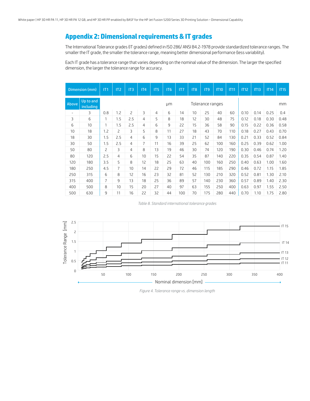# **Appendix 2: Dimensional requirements & IT grades**

The International Tolerance grades (IT grades) defined in ISO 286/ ANSI B4.2-1978 provide standardized tolerance ranges. The smaller the IT grade, the smaller the tolerance range, meaning better dimensional performance (less variability).

Each IT grade has a tolerance range that varies depending on the nominal value of the dimension. The larger the specified dimension, the larger the tolerance range for accuracy.

|                          | Dimension (mm)         | IT1            | IT <sub>2</sub> | IT3            | IT4 | IT <sub>5</sub> | IT <sub>6</sub> | IT7 | IT <sub>8</sub> | IT <sub>9</sub>  | <b>IT10</b> | IT11 | <b>IT12</b> | IT13 | IT14 | <b>IT15</b> |  |  |
|--------------------------|------------------------|----------------|-----------------|----------------|-----|-----------------|-----------------|-----|-----------------|------------------|-------------|------|-------------|------|------|-------------|--|--|
| Above                    | Up to and<br>including |                |                 |                |     |                 | μm              |     |                 | Tolerance ranges |             |      | mm          |      |      |             |  |  |
| $\overline{\phantom{a}}$ | 3                      | 0.8            | 1.2             | $\overline{c}$ | 3   | $\overline{4}$  | 6               | 14  | 10              | 25               | 40          | 60   | 0.10        | 0.14 | 0.25 | 0.4         |  |  |
| 3                        | 6                      | 1              | 1.5             | 2.5            | 4   | 5               | 8               | 18  | 12              | 30               | 48          | 75   | 0.12        | 0.18 | 0.30 | 0.48        |  |  |
| 6                        | 10                     | 1              | 1.5             | 2.5            | 4   | 6               | $\overline{9}$  | 22  | 15              | 36               | 58          | 90   | 0.15        | 0.22 | 0.36 | 0.58        |  |  |
| 10                       | 18                     | 1.2            | 2               | 3              | 5   | 8               | 11              | 27  | 18              | 43               | 70          | 110  | 0.18        | 0.27 | 0.43 | 0.70        |  |  |
| 18                       | 30                     | 1.5            | 2.5             | 4              | 6   | 9               | 13              | 33  | 21              | 52               | 84          | 130  | 0.21        | 0.33 | 0.52 | 0.84        |  |  |
| 30                       | 50                     | 1.5            | 2.5             | 4              | 7   | 11              | 16              | 39  | 25              | 62               | 100         | 160  | 0.25        | 0.39 | 0.62 | 1.00        |  |  |
| 50                       | 80                     | $\overline{c}$ | 3               | 4              | 8   | 13              | 19              | 46  | 30              | 74               | 120         | 190  | 0.30        | 0.46 | 0.74 | 1.20        |  |  |
| 80                       | 120                    | 2.5            | 4               | 6              | 10  | 15              | 22              | 54  | 35              | 87               | 140         | 220  | 0.35        | 0.54 | 0.87 | 1.40        |  |  |
| 120                      | 180                    | 3.5            | 5               | 8              | 12  | 18              | 25              | 63  | 40              | 100              | 160         | 250  | 0.40        | 0.63 | 1.00 | 1.60        |  |  |
| 180                      | 250                    | 4.5            | $\overline{7}$  | 10             | 14  | 22              | 29              | 72  | 46              | 115              | 185         | 290  | 0.46        | 0.72 | 1.15 | 1.85        |  |  |
| 250                      | 315                    | 6              | 8               | 12             | 16  | 23              | 32              | 81  | 52              | 130              | 210         | 320  | 0.52        | 0.81 | 1.30 | 2.10        |  |  |
| 315                      | 400                    | $\overline{7}$ | 9               | 13             | 18  | 25              | 36              | 89  | 57              | 140              | 230         | 360  | 0.57        | 0.89 | 1.40 | 2.30        |  |  |
| 400                      | 500                    | 8              | 10              | 15             | 20  | 27              | 40              | 97  | 63              | 155              | 250         | 400  | 0.63        | 0.97 | 1.55 | 2.50        |  |  |
| 500                      | 630                    | 9              | 11              | 16             | 22  | 32              | 44              | 100 | 70              | 175              | 280         | 440  | 0.70        | 1.10 | 1.75 | 2.80        |  |  |

*Table 8. Standard international tolerance grades*



*Figure 4. Tolerance range vs. dimension length*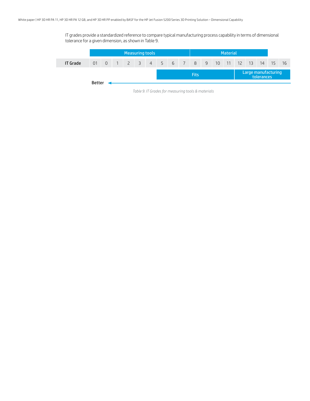IT grades provide a standardized reference to compare typical manufacturing process capability in terms of dimensional tolerance for a given dimension, as shown in Table 9.

|                 | Measuring tools |                |  |                                     |                                                                                  |  |  |  |  | <b>Material</b>                                                                                                 |  |  |  |  |                     |            |      |
|-----------------|-----------------|----------------|--|-------------------------------------|----------------------------------------------------------------------------------|--|--|--|--|-----------------------------------------------------------------------------------------------------------------|--|--|--|--|---------------------|------------|------|
| <b>IT Grade</b> | 01              | $\overline{0}$ |  | 1 2 3 4 5 6 7 8 9 10 11 12 13 14 15 |                                                                                  |  |  |  |  |                                                                                                                 |  |  |  |  |                     |            | - 16 |
|                 |                 |                |  |                                     |                                                                                  |  |  |  |  | <b>Fits</b>                                                                                                     |  |  |  |  | Large manufacturing | tolerances |      |
|                 | <b>Better</b>   |                |  |                                     | ,但是,我们的人们都会不会不会。""我们的人们,我们也会不会不会不会。""我们的人们,我们也会不会不会不会。""我们的人们,我们也会不会不会不会不会不会不会不会 |  |  |  |  | the contract of the contract of the contract of the contract of the contract of the contract of the contract of |  |  |  |  |                     |            |      |

*Table 9. IT Grades for measuring tools & materials*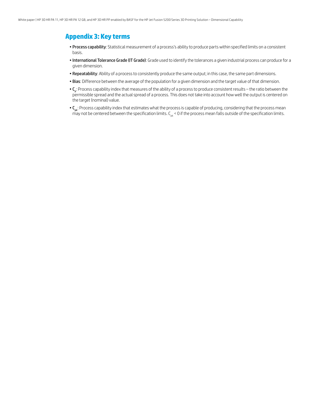## **Appendix 3: Key terms**

- Process capability: Statistical measurement of a process's ability to produce parts within specified limits on a consistent basis.
- International Tolerance Grade (IT Grade): Grade used to identify the tolerances a given industrial process can produce for a given dimension.
- Repeatability: Ability of a process to consistently produce the same output; in this case, the same part dimensions.
- Bias: Difference between the average of the population for a given dimension and the target value of that dimension.
- $\cdot$  C<sub>p</sub>: Process capability index that measures of the ability of a process to produce consistent results the ratio between the permissible spread and the actual spread of a process. This does not take into account how well the output is centered on the target (nominal) value.
- C<sub>nk</sub>: Process capability index that estimates what the process is capable of producing, considering that the process mean may not be centered between the specification limits.  $C_{pk}$  < 0 if the process mean falls outside of the specification limits.